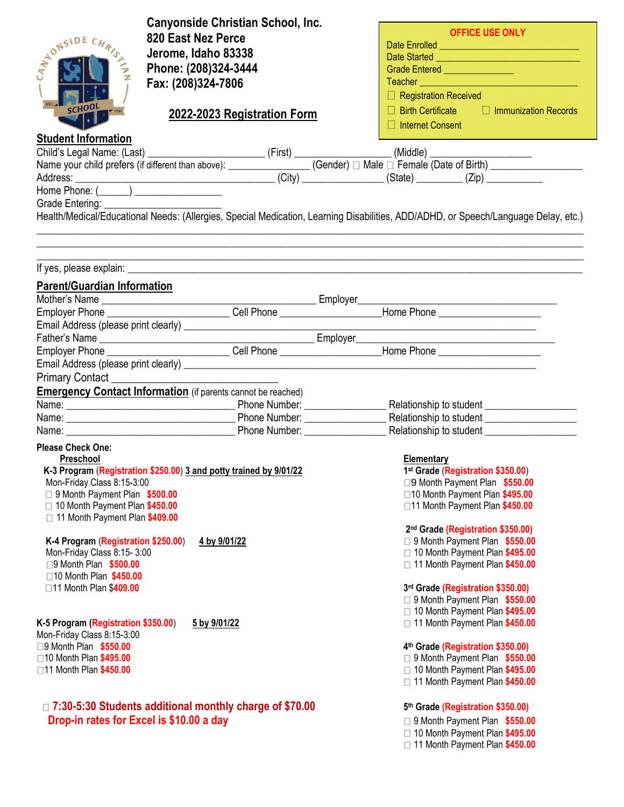| <b>Canyonside Christian School, Inc.</b>                                                                                                                                                                                            |                                                                      |  |
|-------------------------------------------------------------------------------------------------------------------------------------------------------------------------------------------------------------------------------------|----------------------------------------------------------------------|--|
| 820 East Nez Perce<br>NONSIDE CHR.                                                                                                                                                                                                  | <b>OFFICE USE ONLY</b>                                               |  |
| Jerome, Idaho 83338                                                                                                                                                                                                                 |                                                                      |  |
| Phone: (208)324-3444                                                                                                                                                                                                                | Grade Entered ________________                                       |  |
| Fax: (208)324-7806                                                                                                                                                                                                                  | Teacher <b>Example 2014</b>                                          |  |
|                                                                                                                                                                                                                                     | $\Box$ Registration Received                                         |  |
| EST.<br><b>SCHOOL</b>                                                                                                                                                                                                               | $\Box$ Birth Certificate $\Box$ Immunization Records                 |  |
| 2022-2023 Registration Form                                                                                                                                                                                                         | $\Box$ Internet Consent                                              |  |
| <b>Student Information</b>                                                                                                                                                                                                          |                                                                      |  |
|                                                                                                                                                                                                                                     |                                                                      |  |
|                                                                                                                                                                                                                                     |                                                                      |  |
|                                                                                                                                                                                                                                     |                                                                      |  |
| Child's Legal Name: (Last) (Eirst) (First) (Gender) □ Male □ Female (Date of Birth) (Middle) (Name your child prefers (if different than above): (City) (Gender) □ Male □ Female (Date of Birth) (Address: (City) (City) (Sta       |                                                                      |  |
|                                                                                                                                                                                                                                     |                                                                      |  |
| Health/Medical/Educational Needs: (Allergies, Special Medication, Learning Disabilities, ADD/ADHD, or Speech/Language Delay, etc.)                                                                                                  |                                                                      |  |
|                                                                                                                                                                                                                                     |                                                                      |  |
|                                                                                                                                                                                                                                     |                                                                      |  |
| ,我们也不能在这里的时候,我们也不能在这里的时候,我们也不能在这里的时候,我们也不能会在这里的时候,我们也不能会在这里的时候,我们也不能会在这里的时候,我们也不                                                                                                                                                    |                                                                      |  |
| If yes, please explain: <u>explainting</u> the state of the state of the state of the state of the state of the state of the state of the state of the state of the state of the state of the state of the state of the state of th |                                                                      |  |
| <b>Parent/Guardian Information</b>                                                                                                                                                                                                  |                                                                      |  |
|                                                                                                                                                                                                                                     |                                                                      |  |
| Employer Phone ____________________________Cell Phone ___________________Home Phone ______________________                                                                                                                          |                                                                      |  |
|                                                                                                                                                                                                                                     | <u> 1989 - Johann Barn, mars ann an t-Amhair an t-A</u>              |  |
|                                                                                                                                                                                                                                     |                                                                      |  |
|                                                                                                                                                                                                                                     |                                                                      |  |
|                                                                                                                                                                                                                                     |                                                                      |  |
| Primary Contact_                                                                                                                                                                                                                    |                                                                      |  |
| <b>Emergency Contact Information</b> (if parents cannot be reached)                                                                                                                                                                 |                                                                      |  |
|                                                                                                                                                                                                                                     |                                                                      |  |
|                                                                                                                                                                                                                                     |                                                                      |  |
|                                                                                                                                                                                                                                     | Relationship to student _____________________                        |  |
| <b>Please Check One:</b>                                                                                                                                                                                                            |                                                                      |  |
| Preschool                                                                                                                                                                                                                           | <b>Elementary</b>                                                    |  |
| K-3 Program (Registration \$250.00) 3 and potty trained by 9/01/22                                                                                                                                                                  | 1 <sup>st</sup> Grade (Registration \$350.00)                        |  |
| Mon-Friday Class 8:15-3:00                                                                                                                                                                                                          | □9 Month Payment Plan \$550.00                                       |  |
| □ 9 Month Payment Plan \$500.00<br>□ 10 Month Payment Plan \$450.00                                                                                                                                                                 | □10 Month Payment Plan \$495.00<br>□11 Month Payment Plan \$450.00   |  |
| □ 11 Month Payment Plan \$409.00                                                                                                                                                                                                    |                                                                      |  |
|                                                                                                                                                                                                                                     | 2nd Grade (Registration \$350.00)                                    |  |
| K-4 Program (Registration \$250.00)<br>4 by 9/01/22                                                                                                                                                                                 | □ 9 Month Payment Plan \$550.00                                      |  |
| Mon-Friday Class 8:15-3:00                                                                                                                                                                                                          | □ 10 Month Payment Plan \$495.00                                     |  |
| □9 Month Plan \$500.00                                                                                                                                                                                                              | 11 Month Payment Plan \$450.00                                       |  |
| □10 Month Plan \$450.00                                                                                                                                                                                                             |                                                                      |  |
| □11 Month Plan \$409.00                                                                                                                                                                                                             | 3rd Grade (Registration \$350.00)                                    |  |
|                                                                                                                                                                                                                                     | □ 9 Month Payment Plan \$550.00                                      |  |
| K-5 Program (Registration \$350.00)<br>5 by 9/01/22                                                                                                                                                                                 | □ 10 Month Payment Plan \$495.00<br>11 Month Payment Plan \$450.00   |  |
| Mon-Friday Class 8:15-3:00                                                                                                                                                                                                          |                                                                      |  |
| □9 Month Plan \$550.00                                                                                                                                                                                                              | 4th Grade (Registration \$350.00)                                    |  |
| □10 Month Plan \$495.00                                                                                                                                                                                                             | □ 9 Month Payment Plan \$550.00                                      |  |
| □11 Month Plan \$450.00                                                                                                                                                                                                             | □ 10 Month Payment Plan \$495.00                                     |  |
|                                                                                                                                                                                                                                     | 11 Month Payment Plan \$450.00                                       |  |
|                                                                                                                                                                                                                                     |                                                                      |  |
| □ 7:30-5:30 Students additional monthly charge of \$70.00                                                                                                                                                                           | 5th Grade (Registration \$350.00)                                    |  |
| Drop-in rates for Excel is \$10.00 a day                                                                                                                                                                                            | □ 9 Month Payment Plan \$550.00                                      |  |
|                                                                                                                                                                                                                                     | □ 10 Month Payment Plan \$495.00<br>□ 11 Month Payment Plan \$450.00 |  |
|                                                                                                                                                                                                                                     |                                                                      |  |